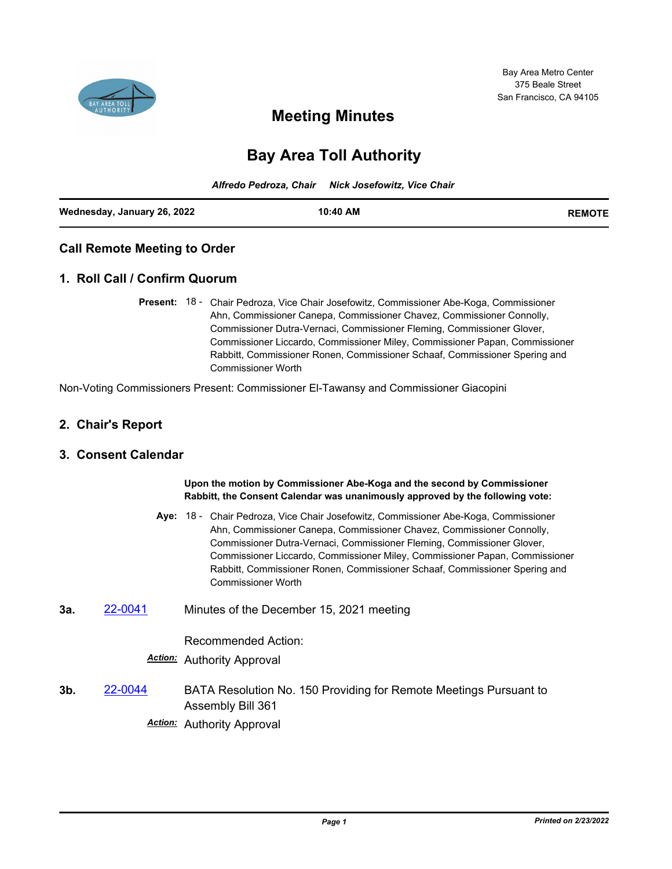

# **Meeting Minutes**

# **Bay Area Toll Authority**

|                             | Alfredo Pedroza, Chair Nick Josefowitz, Vice Chair |               |
|-----------------------------|----------------------------------------------------|---------------|
| Wednesday, January 26, 2022 | 10:40 AM                                           | <b>REMOTE</b> |

### **Call Remote Meeting to Order**

### **1. Roll Call / Confirm Quorum**

Present: 18 - Chair Pedroza, Vice Chair Josefowitz, Commissioner Abe-Koga, Commissioner Ahn, Commissioner Canepa, Commissioner Chavez, Commissioner Connolly, Commissioner Dutra-Vernaci, Commissioner Fleming, Commissioner Glover, Commissioner Liccardo, Commissioner Miley, Commissioner Papan, Commissioner Rabbitt, Commissioner Ronen, Commissioner Schaaf, Commissioner Spering and Commissioner Worth

Non-Voting Commissioners Present: Commissioner El-Tawansy and Commissioner Giacopini

### **2. Chair's Report**

#### **3. Consent Calendar**

**Upon the motion by Commissioner Abe-Koga and the second by Commissioner Rabbitt, the Consent Calendar was unanimously approved by the following vote:**

- Aye: 18 Chair Pedroza, Vice Chair Josefowitz, Commissioner Abe-Koga, Commissioner Ahn, Commissioner Canepa, Commissioner Chavez, Commissioner Connolly, Commissioner Dutra-Vernaci, Commissioner Fleming, Commissioner Glover, Commissioner Liccardo, Commissioner Miley, Commissioner Papan, Commissioner Rabbitt, Commissioner Ronen, Commissioner Schaaf, Commissioner Spering and Commissioner Worth
- **3a.** [22-0041](http://mtc.legistar.com/gateway.aspx?m=l&id=/matter.aspx?key=23300) Minutes of the December 15, 2021 meeting

Recommended Action:

#### *Action:* Authority Approval

**3b.** [22-0044](http://mtc.legistar.com/gateway.aspx?m=l&id=/matter.aspx?key=23303) BATA Resolution No. 150 Providing for Remote Meetings Pursuant to Assembly Bill 361

*Action:* Authority Approval